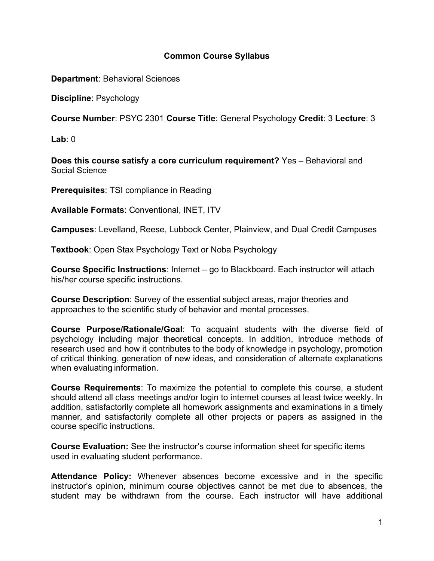### **Common Course Syllabus**

**Department**: Behavioral Sciences

**Discipline**: Psychology

**Course Number**: PSYC 2301 **Course Title**: General Psychology **Credit**: 3 **Lecture**: 3

**Lab**: 0

**Does this course satisfy a core curriculum requirement?** Yes – Behavioral and Social Science

**Prerequisites**: TSI compliance in Reading

**Available Formats**: Conventional, INET, ITV

**Campuses**: Levelland, Reese, Lubbock Center, Plainview, and Dual Credit Campuses

**Textbook**: Open Stax Psychology Text or Noba Psychology

**Course Specific Instructions**: Internet – go to Blackboard. Each instructor will attach his/her course specific instructions.

**Course Description**: Survey of the essential subject areas, major theories and approaches to the scientific study of behavior and mental processes.

**Course Purpose/Rationale/Goal**: To acquaint students with the diverse field of psychology including major theoretical concepts. In addition, introduce methods of research used and how it contributes to the body of knowledge in psychology, promotion of critical thinking, generation of new ideas, and consideration of alternate explanations when evaluating information.

**Course Requirements**: To maximize the potential to complete this course, a student should attend all class meetings and/or login to internet courses at least twice weekly. In addition, satisfactorily complete all homework assignments and examinations in a timely manner, and satisfactorily complete all other projects or papers as assigned in the course specific instructions.

**Course Evaluation:** See the instructor's course information sheet for specific items used in evaluating student performance.

**Attendance Policy:** Whenever absences become excessive and in the specific instructor's opinion, minimum course objectives cannot be met due to absences, the student may be withdrawn from the course. Each instructor will have additional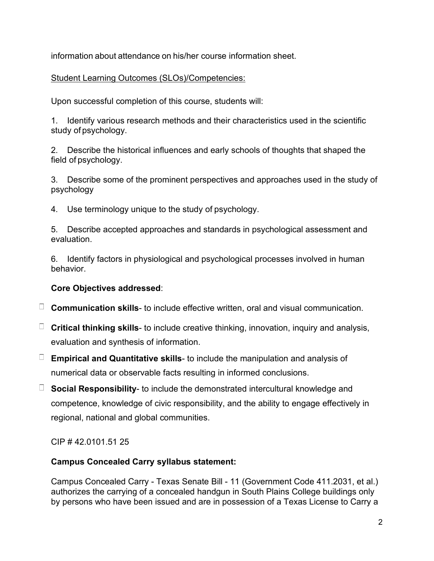information about attendance on his/her course information sheet.

## Student Learning Outcomes (SLOs)/Competencies:

Upon successful completion of this course, students will:

1. Identify various research methods and their characteristics used in the scientific study of psychology.

2. Describe the historical influences and early schools of thoughts that shaped the field of psychology.

3. Describe some of the prominent perspectives and approaches used in the study of psychology

4. Use terminology unique to the study of psychology.

5. Describe accepted approaches and standards in psychological assessment and evaluation.

6. Identify factors in physiological and psychological processes involved in human behavior.

# **Core Objectives addressed**:

- **Communication skills** to include effective written, oral and visual communication.
- **Critical thinking skills** to include creative thinking, innovation, inquiry and analysis, evaluation and synthesis of information.
- **Empirical and Quantitative skills** to include the manipulation and analysis of numerical data or observable facts resulting in informed conclusions.
- **Social Responsibility** to include the demonstrated intercultural knowledge and competence, knowledge of civic responsibility, and the ability to engage effectively in regional, national and global communities.

CIP # 42.0101.51 25

# **Campus Concealed Carry syllabus statement:**

Campus Concealed Carry - Texas Senate Bill - 11 (Government Code 411.2031, et al.) authorizes the carrying of a concealed handgun in South Plains College buildings only by persons who have been issued and are in possession of a Texas License to Carry a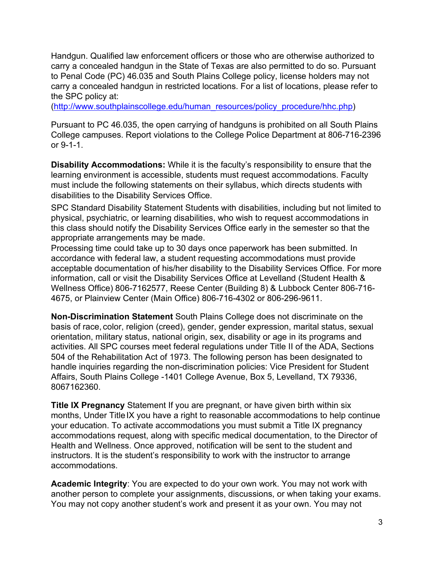Handgun. Qualified law enforcement officers or those who are otherwise authorized to carry a concealed handgun in the State of Texas are also permitted to do so. Pursuant to Penal Code (PC) 46.035 and South Plains College policy, license holders may not carry a concealed handgun in restricted locations. For a list of locations, please refer to the SPC policy at:

[\(http://www.southplainscollege.edu/human\\_resources/policy\\_procedure/hhc.php\)](http://www.southplainscollege.edu/human_resources/policy_procedure/hhc.php)

Pursuant to PC 46.035, the open carrying of handguns is prohibited on all South Plains College campuses. Report violations to the College Police Department at 806-716-2396 or 9-1-1.

**Disability Accommodations:** While it is the faculty's responsibility to ensure that the learning environment is accessible, students must request accommodations. Faculty must include the following statements on their syllabus, which directs students with disabilities to the Disability Services Office.

SPC Standard Disability Statement Students with disabilities, including but not limited to physical, psychiatric, or learning disabilities, who wish to request accommodations in this class should notify the Disability Services Office early in the semester so that the appropriate arrangements may be made.

Processing time could take up to 30 days once paperwork has been submitted. In accordance with federal law, a student requesting accommodations must provide acceptable documentation of his/her disability to the Disability Services Office. For more information, call or visit the Disability Services Office at Levelland (Student Health & Wellness Office) 806-7162577, Reese Center (Building 8) & Lubbock Center 806-716- 4675, or Plainview Center (Main Office) 806-716-4302 or 806-296-9611.

**Non-Discrimination Statement** South Plains College does not discriminate on the basis of race, color, religion (creed), gender, gender expression, marital status, sexual orientation, military status, national origin, sex, disability or age in its programs and activities. All SPC courses meet federal regulations under Title II of the ADA, Sections 504 of the Rehabilitation Act of 1973. The following person has been designated to handle inquiries regarding the non-discrimination policies: Vice President for Student Affairs, South Plains College -1401 College Avenue, Box 5, Levelland, TX 79336, 8067162360.

**Title IX Pregnancy** Statement If you are pregnant, or have given birth within six months, Under TitleIX you have a right to reasonable accommodations to help continue your education. To activate accommodations you must submit a Title IX pregnancy accommodations request, along with specific medical documentation, to the Director of Health and Wellness. Once approved, notification will be sent to the student and instructors. It is the student's responsibility to work with the instructor to arrange accommodations.

**Academic Integrity**: You are expected to do your own work. You may not work with another person to complete your assignments, discussions, or when taking your exams. You may not copy another student's work and present it as your own. You may not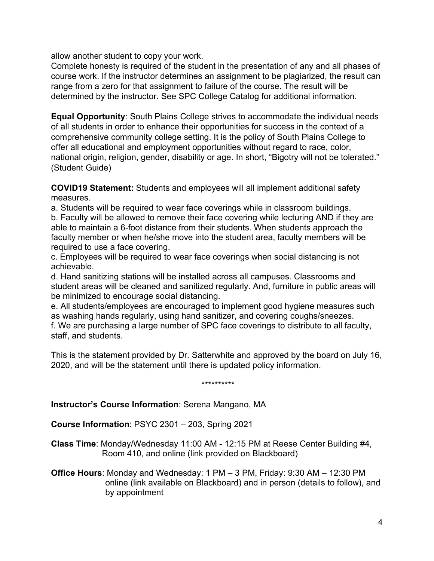allow another student to copy your work.

Complete honesty is required of the student in the presentation of any and all phases of course work. If the instructor determines an assignment to be plagiarized, the result can range from a zero for that assignment to failure of the course. The result will be determined by the instructor. See SPC College Catalog for additional information.

**Equal Opportunity**: South Plains College strives to accommodate the individual needs of all students in order to enhance their opportunities for success in the context of a comprehensive community college setting. It is the policy of South Plains College to offer all educational and employment opportunities without regard to race, color, national origin, religion, gender, disability or age. In short, "Bigotry will not be tolerated." (Student Guide)

**COVID19 Statement:** Students and employees will all implement additional safety measures.

a. Students will be required to wear face coverings while in classroom buildings. b. Faculty will be allowed to remove their face covering while lecturing AND if they are able to maintain a 6-foot distance from their students. When students approach the faculty member or when he/she move into the student area, faculty members will be required to use a face covering.

c. Employees will be required to wear face coverings when social distancing is not achievable.

d. Hand sanitizing stations will be installed across all campuses. Classrooms and student areas will be cleaned and sanitized regularly. And, furniture in public areas will be minimized to encourage social distancing.

e. All students/employees are encouraged to implement good hygiene measures such as washing hands regularly, using hand sanitizer, and covering coughs/sneezes. f. We are purchasing a large number of SPC face coverings to distribute to all faculty, staff, and students.

This is the statement provided by Dr. Satterwhite and approved by the board on July 16, 2020, and will be the statement until there is updated policy information.

\*\*\*\*\*\*\*\*\*\*

### **Instructor's Course Information**: Serena Mangano, MA

**Course Information**: PSYC 2301 – 203, Spring 2021

**Class Time**: Monday/Wednesday 11:00 AM - 12:15 PM at Reese Center Building #4, Room 410, and online (link provided on Blackboard)

**Office Hours**: Monday and Wednesday: 1 PM – 3 PM, Friday: 9:30 AM – 12:30 PM online (link available on Blackboard) and in person (details to follow), and by appointment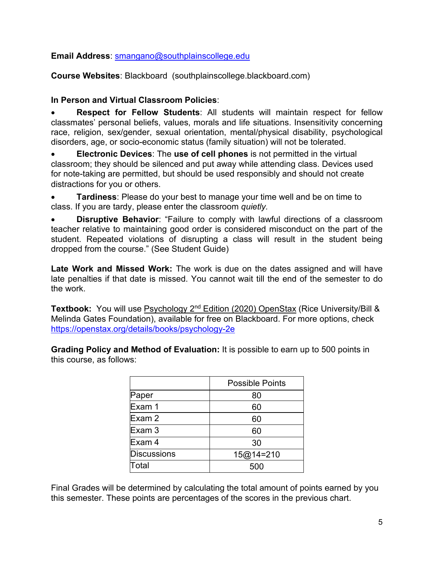### **Email Address**: [smangano@southplainscollege.edu](mailto:smangano@southplainscollege.edu)

**Course Websites**: Blackboard (southplainscollege.blackboard.com)

### **In Person and Virtual Classroom Policies**:

• **Respect for Fellow Students**: All students will maintain respect for fellow classmates' personal beliefs, values, morals and life situations. Insensitivity concerning race, religion, sex/gender, sexual orientation, mental/physical disability, psychological disorders, age, or socio-economic status (family situation) will not be tolerated.

• **Electronic Devices**: The **use of cell phones** is not permitted in the virtual classroom; they should be silenced and put away while attending class. Devices used for note-taking are permitted, but should be used responsibly and should not create distractions for you or others.

• **Tardiness**: Please do your best to manage your time well and be on time to class. If you are tardy, please enter the classroom *quietly.* 

• **Disruptive Behavior**: "Failure to comply with lawful directions of a classroom teacher relative to maintaining good order is considered misconduct on the part of the student. Repeated violations of disrupting a class will result in the student being dropped from the course." (See Student Guide)

**Late Work and Missed Work:** The work is due on the dates assigned and will have late penalties if that date is missed. You cannot wait till the end of the semester to do the work.

**Textbook:** You will use Psychology 2<sup>nd</sup> Edition (2020) OpenStax (Rice University/Bill & Melinda Gates Foundation), available for free on Blackboard. For more options, check <https://openstax.org/details/books/psychology-2e>

**Grading Policy and Method of Evaluation:** It is possible to earn up to 500 points in this course, as follows:

|                    | <b>Possible Points</b> |  |  |
|--------------------|------------------------|--|--|
| Paper              | 80                     |  |  |
| Exam 1             | 60                     |  |  |
| Exam 2             | 60                     |  |  |
| Exam 3             | 60                     |  |  |
| Exam 4             | 30                     |  |  |
| <b>Discussions</b> | 15@14=210              |  |  |
| Total              | 500                    |  |  |

Final Grades will be determined by calculating the total amount of points earned by you this semester. These points are percentages of the scores in the previous chart.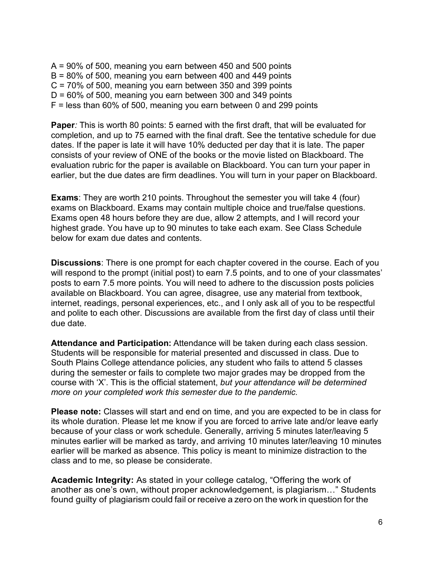A = 90% of 500, meaning you earn between 450 and 500 points B = 80% of 500, meaning you earn between 400 and 449 points C = 70% of 500, meaning you earn between 350 and 399 points  $D = 60\%$  of 500, meaning you earn between 300 and 349 points  $F =$  less than 60% of 500, meaning you earn between 0 and 299 points

**Paper***:* This is worth 80 points: 5 earned with the first draft, that will be evaluated for completion, and up to 75 earned with the final draft. See the tentative schedule for due dates. If the paper is late it will have 10% deducted per day that it is late. The paper consists of your review of ONE of the books or the movie listed on Blackboard. The evaluation rubric for the paper is available on Blackboard. You can turn your paper in earlier, but the due dates are firm deadlines. You will turn in your paper on Blackboard.

**Exams**: They are worth 210 points. Throughout the semester you will take 4 (four) exams on Blackboard. Exams may contain multiple choice and true/false questions. Exams open 48 hours before they are due, allow 2 attempts, and I will record your highest grade. You have up to 90 minutes to take each exam. See Class Schedule below for exam due dates and contents.

**Discussions**: There is one prompt for each chapter covered in the course. Each of you will respond to the prompt (initial post) to earn 7.5 points, and to one of your classmates' posts to earn 7.5 more points. You will need to adhere to the discussion posts policies available on Blackboard. You can agree, disagree, use any material from textbook, internet, readings, personal experiences, etc., and I only ask all of you to be respectful and polite to each other. Discussions are available from the first day of class until their due date.

**Attendance and Participation:** Attendance will be taken during each class session. Students will be responsible for material presented and discussed in class. Due to South Plains College attendance policies, any student who fails to attend 5 classes during the semester or fails to complete two major grades may be dropped from the course with 'X'. This is the official statement, *but your attendance will be determined more on your completed work this semester due to the pandemic.*

**Please note:** Classes will start and end on time, and you are expected to be in class for its whole duration. Please let me know if you are forced to arrive late and/or leave early because of your class or work schedule. Generally, arriving 5 minutes later/leaving 5 minutes earlier will be marked as tardy, and arriving 10 minutes later/leaving 10 minutes earlier will be marked as absence. This policy is meant to minimize distraction to the class and to me, so please be considerate.

**Academic Integrity:** As stated in your college catalog, "Offering the work of another as one's own, without proper acknowledgement, is plagiarism…" Students found guilty of plagiarism could fail or receive a zero on the work in question for the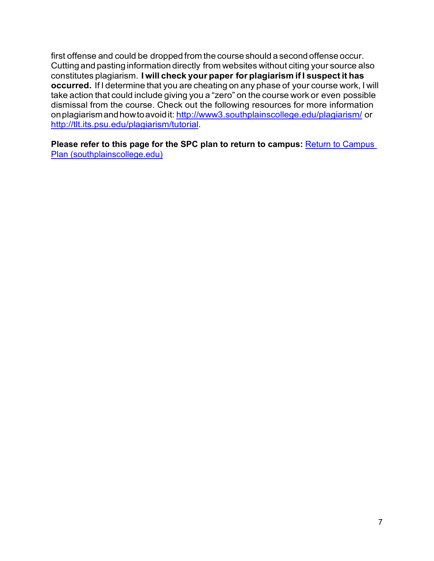first offense and could be dropped from the course should a second offense occur. Cutting and pasting information directly from websites without citing your source also constitutes plagiarism. **I will check your paper for plagiarism if I suspect it has occurred.** If I determine that you are cheating on any phase of your course work, I will take action that could include giving you a "zero" on the course work or even possible dismissal from the course. Check out the following resources for more information onplagiarismandhowtoavoidit: <http://www3.southplainscollege.edu/plagiarism/> or [http://tlt.its.psu.edu/plagiarism/tutorial.](http://tlt.its.psu.edu/plagiarism/tutorial)

Please refer to this page for the SPC plan to return to campus: **Return to Campus** [Plan \(southplainscollege.edu\)](http://www.southplainscollege.edu/emergency/return-to-campus-plan.php)